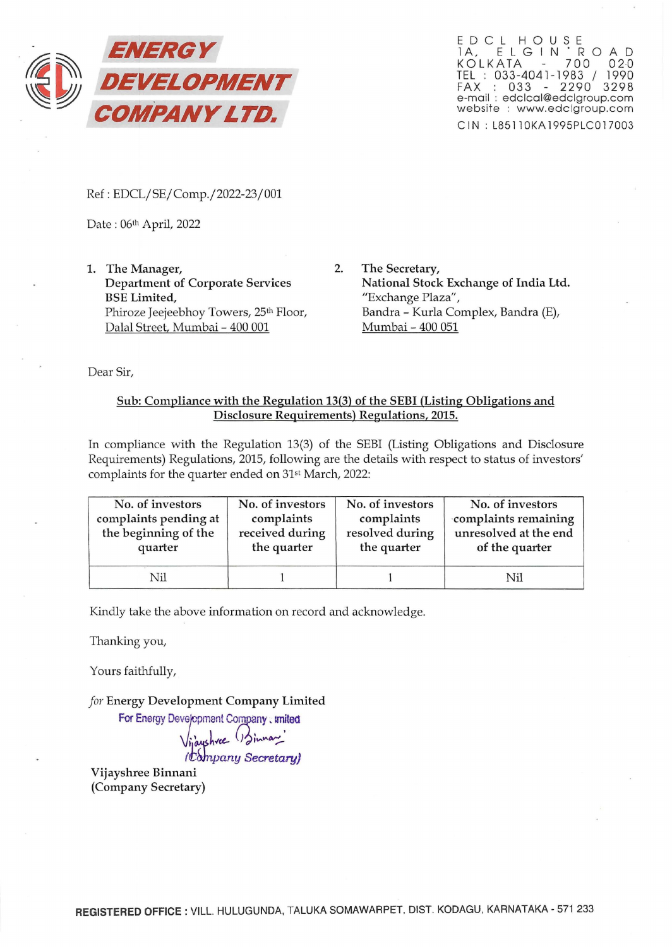

EDCL HOUSE EDCE HOUSE<br>1A, ELGIN ROAD K OLKATA - 700 020 TEL : 033-4041-1983 / 1990 FAX : 033 - 2290 3298 e-mail : edclcal@edclgroup.com website : www.edclgroup.com C IN: L8511 OKA 1995PLCO 17003

Ref: EDCL/SE/Comp./2022-23/001

Date: 061h April, 2022

1. The Manager, Department of Corporate Services BSE Limited, Phiroze Jeejeebhoy Towers, 25<sup>th</sup> Floor, Dalal Street, Mumbai - 400 001

2. The Secretary, National Stock Exchange of India Ltd. "Exchange Plaza", Sandra - Kurla Complex, Bandra (E), Mumbai - 400 051

Dear Sir,

## Sub: Compliance with the Regulation 13(3) of the SEBI (Listing Obligations and Disclosure Requirements) Regulations, 2015.

In compliance with the Regulation 13(3) of the SEBI (Listing Obligations and Disclosure Requirements) Regulations, 2015, following are the details with respect to status of investors' complaints for the quarter ended on 31<sup>st</sup> March, 2022:

| No. of investors      | No. of investors | No. of investors | No. of investors      |
|-----------------------|------------------|------------------|-----------------------|
| complaints pending at | complaints       | complaints       | complaints remaining  |
| the beginning of the  | received during  | resolved during  | unresolved at the end |
| quarter               | the quarter      | the quarter      | of the quarter        |
| Nil                   |                  |                  | Nil                   |

Kindly take the above information on record and acknowledge.

Thanking you,

Yours faithfully,

*jor* Energy Development Company Limited For Energy Development Company : united

Vijaushree (Binnar)

*{t&tpany Secretary}* 

Vijayshree Binnani (Company Secretary)